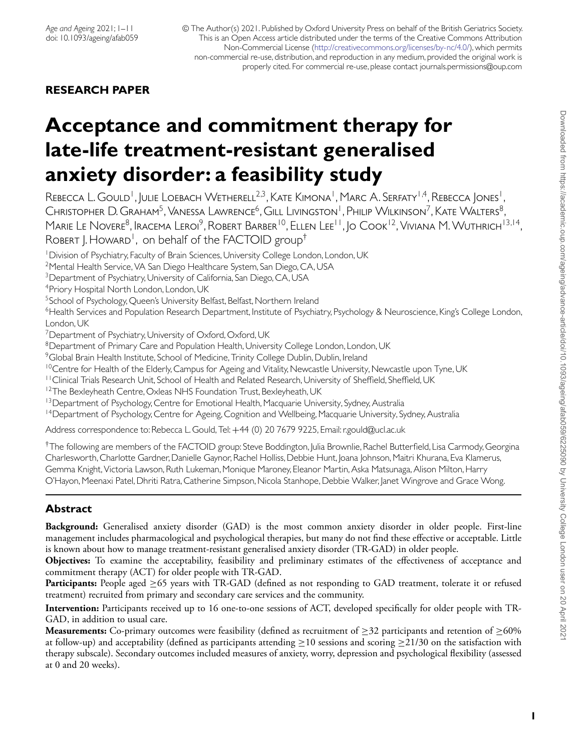© The Author(s) 2021. Published by Oxford University Press on behalf of the British Geriatrics Society. This is an Open Access article distributed under the terms of the Creative Commons Attribution Non-Commercial License [\(http://creativecommons.org/licenses/by-nc/4.0/\)](http://creativecommons.org/licenses/by-nc/4.0/), which permits non-commercial re-use, distribution, and reproduction in any medium, provided the original work is properly cited. For commercial re-use, please contact journals.permissions@oup.com

# **RESEARCH PAPER**

# **Acceptance and commitment therapy for late-life treatment-resistant generalised anxiety disorder: a feasibility study**

REBECCA L. GOULD<sup>1</sup>, JULIE LOEBACH WETHERELL<sup>2,3</sup>, KATE KIMONA<sup>1</sup>, MARC A. SERFATY<sup>1,4</sup>, REBECCA JONES<sup>1</sup>, Christopher D. Graham<sup>5</sup>, Vanessa Lawrence<sup>6</sup>, Gill Livingston<sup>1</sup>, Philip Wilkinson<sup>7</sup>, Kate Walters<sup>8</sup>, Marie Le Novere<sup>8</sup>, Iracema Leroi<sup>9</sup>, Robert Barber<sup>10</sup>, Ellen Lee<sup>11</sup>, Jo Cook<sup>12</sup>, Viviana M. Wuthrich<sup>13,14</sup>, ROBERT I. HOWARD<sup>1</sup>, on behalf of the FACTOID group<sup>†</sup>

<sup>1</sup> Division of Psychiatry, Faculty of Brain Sciences, University College London, London, UK

<sup>2</sup>Mental Health Service, VA San Diego Healthcare System, San Diego, CA, USA

<sup>3</sup> Department of Psychiatry, University of California, San Diego, CA, USA

4Priory Hospital North London, London, UK

<sup>5</sup>School of Psychology, Queen's University Belfast, Belfast, Northern Ireland

6Health Services and Population Research Department, Institute of Psychiatry, Psychology & Neuroscience, King's College London, London, UK

<sup>7</sup> Department of Psychiatry, University of Oxford, Oxford, UK

<sup>8</sup>Department of Primary Care and Population Health, University College London, London, UK

<sup>9</sup>Global Brain Health Institute, School of Medicine, Trinity College Dublin, Dublin, Ireland

<sup>10</sup>Centre for Health of the Elderly, Campus for Ageing and Vitality, Newcastle University, Newcastle upon Tyne, UK

<sup>11</sup> Clinical Trials Research Unit, School of Health and Related Research, University of Sheffield, Sheffield, UK

<sup>12</sup>The Bexleyheath Centre, Oxleas NHS Foundation Trust, Bexleyheath, UK

<sup>13</sup> Department of Psychology, Centre for Emotional Health, Macquarie University, Sydney, Australia

<sup>14</sup> Department of Psychology, Centre for Ageing, Cognition and Wellbeing, Macquarie University, Sydney, Australia

Address correspondence to: Rebecca L. Gould, Tel: +44 (0) 20 7679 9225, Email: r.gould@ucl.ac.uk

†The following are members of the FACTOID group: Steve Boddington, Julia Brownlie, Rachel Butterfield, Lisa Carmody, Georgina Charlesworth, Charlotte Gardner, Danielle Gaynor, Rachel Holliss, Debbie Hunt, Joana Johnson, Maitri Khurana, Eva Klamerus, Gemma Knight, Victoria Lawson, Ruth Lukeman, Monique Maroney, Eleanor Martin, Aska Matsunaga, Alison Milton, Harry O'Hayon, Meenaxi Patel, Dhriti Ratra, Catherine Simpson, Nicola Stanhope, Debbie Walker, Janet Wingrove and Grace Wong.

# **Abstract**

**Background:** Generalised anxiety disorder (GAD) is the most common anxiety disorder in older people. First-line management includes pharmacological and psychological therapies, but many do not find these effective or acceptable. Little is known about how to manage treatment-resistant generalised anxiety disorder (TR-GAD) in older people.

**Objectives:** To examine the acceptability, feasibility and preliminary estimates of the effectiveness of acceptance and commitment therapy (ACT) for older people with TR-GAD.

**Participants:** People aged ≥65 years with TR-GAD (defined as not responding to GAD treatment, tolerate it or refused treatment) recruited from primary and secondary care services and the community.

**Intervention:** Participants received up to 16 one-to-one sessions of ACT, developed specifically for older people with TR-GAD, in addition to usual care.

**Measurements:** Co-primary outcomes were feasibility (defined as recruitment of  $\geq$ 32 participants and retention of  $\geq$ 60% at follow-up) and acceptability (defined as participants attending  $\geq$ 10 sessions and scoring  $\geq$ 21/30 on the satisfaction with therapy subscale). Secondary outcomes included measures of anxiety, worry, depression and psychological flexibility (assessed at 0 and 20 weeks).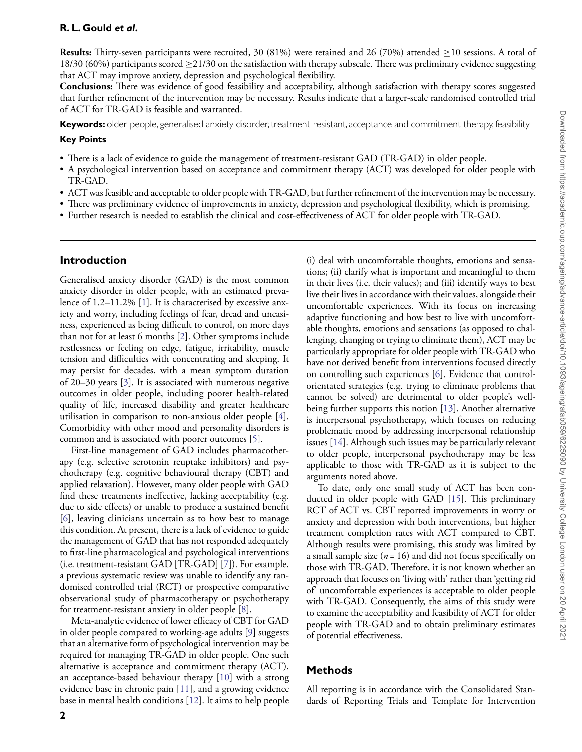**Results:** Thirty-seven participants were recruited, 30 (81%) were retained and 26 (70%) attended ≥10 sessions. A total of 18/30 (60%) participants scored  $\geq$  21/30 on the satisfaction with therapy subscale. There was preliminary evidence suggesting that ACT may improve anxiety, depression and psychological flexibility.

**Conclusions:** There was evidence of good feasibility and acceptability, although satisfaction with therapy scores suggested that further refinement of the intervention may be necessary. Results indicate that a larger-scale randomised controlled trial of ACT for TR-GAD is feasible and warranted.

**Keywords:** older people, generalised anxiety disorder, treatment-resistant, acceptance and commitment therapy, feasibility

#### **Key Points**

- There is a lack of evidence to guide the management of treatment-resistant GAD (TR-GAD) in older people.
- A psychological intervention based on acceptance and commitment therapy (ACT) was developed for older people with TR-GAD.
- ACT was feasible and acceptable to older people with TR-GAD, but further refinement of the intervention may be necessary.
- There was preliminary evidence of improvements in anxiety, depression and psychological flexibility, which is promising.
- Further research is needed to establish the clinical and cost-effectiveness of ACT for older people with TR-GAD.

## **Introduction**

Generalised anxiety disorder (GAD) is the most common anxiety disorder in older people, with an estimated prevalence of 1.2–11.2% [\[1\]](#page-9-0). It is characterised by excessive anxiety and worry, including feelings of fear, dread and uneasiness, experienced as being difficult to control, on more days than not for at least 6 months [\[2\]](#page-9-1). Other symptoms include restlessness or feeling on edge, fatigue, irritability, muscle tension and difficulties with concentrating and sleeping. It may persist for decades, with a mean symptom duration of 20–30 years [\[3\]](#page-9-2). It is associated with numerous negative outcomes in older people, including poorer health-related quality of life, increased disability and greater healthcare utilisation in comparison to non-anxious older people [\[4\]](#page-9-3). Comorbidity with other mood and personality disorders is common and is associated with poorer outcomes [\[5\]](#page-9-4).

First-line management of GAD includes pharmacotherapy (e.g. selective serotonin reuptake inhibitors) and psychotherapy (e.g. cognitive behavioural therapy (CBT) and applied relaxation). However, many older people with GAD find these treatments ineffective, lacking acceptability (e.g. due to side effects) or unable to produce a sustained benefit [\[6\]](#page-9-5), leaving clinicians uncertain as to how best to manage this condition. At present, there is a lack of evidence to guide the management of GAD that has not responded adequately to first-line pharmacological and psychological interventions (i.e. treatment-resistant GAD [TR-GAD] [\[7\]](#page-9-6)). For example, a previous systematic review was unable to identify any randomised controlled trial (RCT) or prospective comparative observational study of pharmacotherapy or psychotherapy for treatment-resistant anxiety in older people [\[8\]](#page-9-7).

Meta-analytic evidence of lower efficacy of CBT for GAD in older people compared to working-age adults [\[9\]](#page-9-8) suggests that an alternative form of psychological intervention may be required for managing TR-GAD in older people. One such alternative is acceptance and commitment therapy (ACT), an acceptance-based behaviour therapy [\[10\]](#page-9-9) with a strong evidence base in chronic pain [\[11\]](#page-9-10), and a growing evidence base in mental health conditions [\[12\]](#page-9-11). It aims to help people

**2**

(i) deal with uncomfortable thoughts, emotions and sensations; (ii) clarify what is important and meaningful to them in their lives (i.e. their values); and (iii) identify ways to best live their lives in accordance with their values, alongside their uncomfortable experiences. With its focus on increasing adaptive functioning and how best to live with uncomfortable thoughts, emotions and sensations (as opposed to challenging, changing or trying to eliminate them), ACT may be particularly appropriate for older people with TR-GAD who have not derived benefit from interventions focused directly on controlling such experiences [\[6\]](#page-9-5). Evidence that controlorientated strategies (e.g. trying to eliminate problems that cannot be solved) are detrimental to older people's wellbeing further supports this notion [\[13\]](#page-9-12). Another alternative is interpersonal psychotherapy, which focuses on reducing problematic mood by addressing interpersonal relationship issues [\[14\]](#page-9-13). Although such issues may be particularly relevant to older people, interpersonal psychotherapy may be less applicable to those with TR-GAD as it is subject to the arguments noted above.

To date, only one small study of ACT has been conducted in older people with GAD [\[15\]](#page-9-14). This preliminary RCT of ACT vs. CBT reported improvements in worry or anxiety and depression with both interventions, but higher treatment completion rates with ACT compared to CBT. Although results were promising, this study was limited by a small sample size  $(n = 16)$  and did not focus specifically on those with TR-GAD. Therefore, it is not known whether an approach that focuses on 'living with' rather than 'getting rid of' uncomfortable experiences is acceptable to older people with TR-GAD. Consequently, the aims of this study were to examine the acceptability and feasibility of ACT for older people with TR-GAD and to obtain preliminary estimates of potential effectiveness.

## **Methods**

All reporting is in accordance with the Consolidated Standards of Reporting Trials and Template for Intervention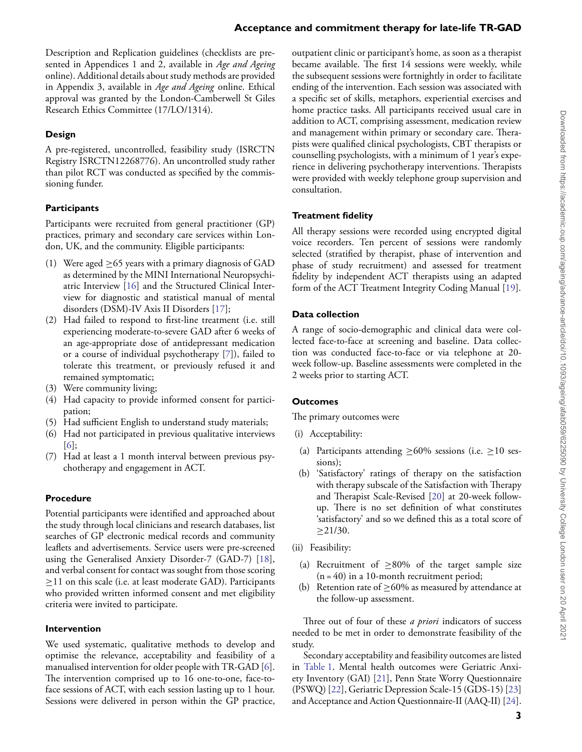Description and Replication guidelines (checklists are presented in Appendices 1 and 2, available in *Age and Ageing* online). Additional details about study methods are provided in Appendix 3, available in *Age and Ageing* online. Ethical approval was granted by the London-Camberwell St Giles Research Ethics Committee (17/LO/1314).

## **Design**

A pre-registered, uncontrolled, feasibility study (ISRCTN Registry ISRCTN12268776). An uncontrolled study rather than pilot RCT was conducted as specified by the commissioning funder.

# **Participants**

Participants were recruited from general practitioner (GP) practices, primary and secondary care services within London, UK, and the community. Eligible participants:

- (1) Were aged  $\geq$  65 years with a primary diagnosis of GAD as determined by the MINI International Neuropsychiatric Interview [\[16\]](#page-9-15) and the Structured Clinical Interview for diagnostic and statistical manual of mental disorders (DSM)-IV Axis II Disorders [\[17\]](#page-9-16);
- (2) Had failed to respond to first-line treatment (i.e. still experiencing moderate-to-severe GAD after 6 weeks of an age-appropriate dose of antidepressant medication or a course of individual psychotherapy [\[7\]](#page-9-6)), failed to tolerate this treatment, or previously refused it and remained symptomatic;
- (3) Were community living;
- (4) Had capacity to provide informed consent for participation;
- (5) Had sufficient English to understand study materials;
- (6) Had not participated in previous qualitative interviews [\[6\]](#page-9-5);
- (7) Had at least a 1 month interval between previous psychotherapy and engagement in ACT.

# **Procedure**

Potential participants were identified and approached about the study through local clinicians and research databases, list searches of GP electronic medical records and community leaflets and advertisements. Service users were pre-screened using the Generalised Anxiety Disorder-7 (GAD-7) [\[18\]](#page-9-17), and verbal consent for contact was sought from those scoring  $\geq$ 11 on this scale (i.e. at least moderate GAD). Participants who provided written informed consent and met eligibility criteria were invited to participate.

## **Intervention**

We used systematic, qualitative methods to develop and optimise the relevance, acceptability and feasibility of a manualised intervention for older people with TR-GAD [\[6\]](#page-9-5). The intervention comprised up to 16 one-to-one, face-toface sessions of ACT, with each session lasting up to 1 hour. Sessions were delivered in person within the GP practice,

outpatient clinic or participant's home, as soon as a therapist became available. The first 14 sessions were weekly, while the subsequent sessions were fortnightly in order to facilitate ending of the intervention. Each session was associated with a specific set of skills, metaphors, experiential exercises and home practice tasks. All participants received usual care in addition to ACT, comprising assessment, medication review and management within primary or secondary care. Therapists were qualified clinical psychologists, CBT therapists or counselling psychologists, with a minimum of 1 year's experience in delivering psychotherapy interventions. Therapists were provided with weekly telephone group supervision and consultation.

# **Treatment fidelity**

All therapy sessions were recorded using encrypted digital voice recorders. Ten percent of sessions were randomly selected (stratified by therapist, phase of intervention and phase of study recruitment) and assessed for treatment fidelity by independent ACT therapists using an adapted form of the ACT Treatment Integrity Coding Manual [\[19\]](#page-9-18).

# **Data collection**

A range of socio-demographic and clinical data were collected face-to-face at screening and baseline. Data collection was conducted face-to-face or via telephone at 20 week follow-up. Baseline assessments were completed in the 2 weeks prior to starting ACT.

# **Outcomes**

The primary outcomes were

- (i) Acceptability:
- (a) Participants attending  $\geq$  60% sessions (i.e.  $\geq$  10 sessions);
- (b) 'Satisfactory' ratings of therapy on the satisfaction with therapy subscale of the Satisfaction with Therapy and Therapist Scale-Revised [\[20\]](#page-9-19) at 20-week followup. There is no set definition of what constitutes 'satisfactory' and so we defined this as a total score of  $\geq$ 21/30.
- (ii) Feasibility:
	- (a) Recruitment of  $\geq 80\%$  of the target sample size  $(n = 40)$  in a 10-month recruitment period;
	- (b) Retention rate of  $\geq$  60% as measured by attendance at the follow-up assessment.

Three out of four of these *a priori* indicators of success needed to be met in order to demonstrate feasibility of the study.

Secondary acceptability and feasibility outcomes are listed in [Table 1.](#page-3-0) Mental health outcomes were Geriatric Anxiety Inventory (GAI) [\[21\]](#page-9-20), Penn State Worry Questionnaire (PSWQ) [\[22\]](#page-9-21), Geriatric Depression Scale-15 (GDS-15) [\[23\]](#page-9-22) and Acceptance and Action Questionnaire-II (AAQ-II) [\[24\]](#page-9-23).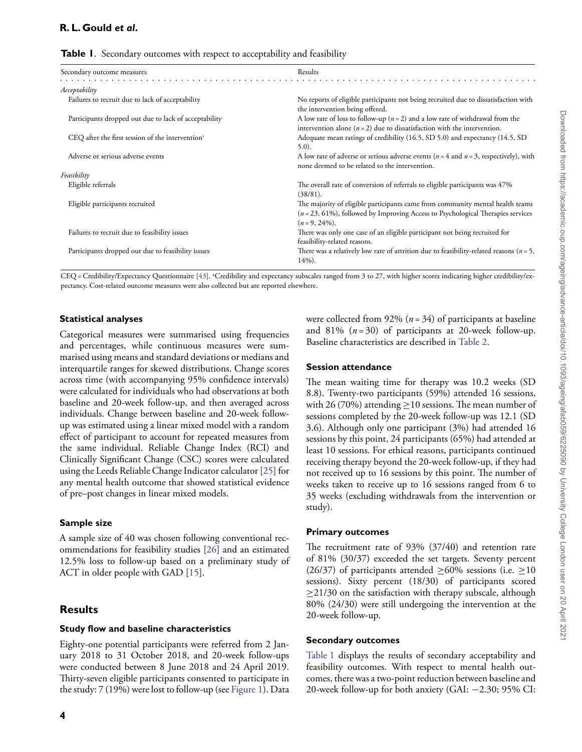<span id="page-3-0"></span>

| Secondary outcome measures                                   | Results                                                                                                                                                                                |
|--------------------------------------------------------------|----------------------------------------------------------------------------------------------------------------------------------------------------------------------------------------|
| Acceptability                                                |                                                                                                                                                                                        |
| Failures to recruit due to lack of acceptability             | No reports of eligible participants not being recruited due to dissatisfaction with<br>the intervention being offered.                                                                 |
| Participants dropped out due to lack of acceptability        | A low rate of loss to follow-up ( $n = 2$ ) and a low rate of withdrawal from the<br>intervention alone $(n = 2)$ due to dissatisfaction with the intervention.                        |
| CEQ after the first session of the intervention <sup>a</sup> | Adequate mean ratings of credibility (16.5, SD 5.0) and expectancy (14.5, SD<br>$5.0$ ).                                                                                               |
| Adverse or serious adverse events                            | A low rate of adverse or serious adverse events ( $n = 4$ and $n = 3$ , respectively), with<br>none deemed to be related to the intervention.                                          |
| Feasibility                                                  |                                                                                                                                                                                        |
| Eligible referrals                                           | The overall rate of conversion of referrals to eligible participants was 47%<br>$(38/81)$ .                                                                                            |
| Eligible participants recruited                              | The majority of eligible participants came from community mental health teams<br>$(n = 23, 61\%)$ , followed by Improving Access to Psychological Therapies services<br>$(n=9, 24\%).$ |
| Failures to recruit due to feasibility issues                | There was only one case of an eligible participant not being recruited for<br>feasibility-related reasons.                                                                             |
| Participants dropped out due to feasibility issues           | There was a relatively low rate of attrition due to feasibility-related reasons ( $n = 5$ ,<br>$14\%$ ).                                                                               |

CEQ = Credibility/Expectancy Questionnaire [\[43\]](#page-10-0). <sup>a</sup>Credibility and expectancy subscales ranged from 3 to 27, with higher scores indicating higher credibility/expectancy. Cost-related outcome measures were also collected but are reported elsewhere.

#### **Statistical analyses**

Categorical measures were summarised using frequencies and percentages, while continuous measures were summarised using means and standard deviations or medians and interquartile ranges for skewed distributions. Change scores across time (with accompanying 95% confidence intervals) were calculated for individuals who had observations at both baseline and 20-week follow-up, and then averaged across individuals. Change between baseline and 20-week followup was estimated using a linear mixed model with a random effect of participant to account for repeated measures from the same individual. Reliable Change Index (RCI) and Clinically Significant Change (CSC) scores were calculated using the Leeds Reliable Change Indicator calculator [\[25\]](#page-9-24) for any mental health outcome that showed statistical evidence of pre–post changes in linear mixed models.

#### **Sample size**

A sample size of 40 was chosen following conventional recommendations for feasibility studies [\[26\]](#page-9-25) and an estimated 12.5% loss to follow-up based on a preliminary study of ACT in older people with GAD [\[15\]](#page-9-14).

## **Results**

#### **Study flow and baseline characteristics**

Eighty-one potential participants were referred from 2 January 2018 to 31 October 2018, and 20-week follow-ups were conducted between 8 June 2018 and 24 April 2019. Thirty-seven eligible participants consented to participate in the study: 7 (19%) were lost to follow-up (see [Figure 1\)](#page-4-0). Data

**4**

were collected from 92% (*n* = 34) of participants at baseline and 81%  $(n=30)$  of participants at 20-week follow-up. Baseline characteristics are described in [Table 2.](#page-5-0)

#### **Session attendance**

The mean waiting time for therapy was 10.2 weeks (SD 8.8). Twenty-two participants (59%) attended 16 sessions, with 26 (70%) attending  $\geq$  10 sessions. The mean number of sessions completed by the 20-week follow-up was 12.1 (SD 3.6). Although only one participant (3%) had attended 16 sessions by this point, 24 participants (65%) had attended at least 10 sessions. For ethical reasons, participants continued receiving therapy beyond the 20-week follow-up, if they had not received up to 16 sessions by this point. The number of weeks taken to receive up to 16 sessions ranged from 6 to 35 weeks (excluding withdrawals from the intervention or study).

#### **Primary outcomes**

The recruitment rate of 93% (37/40) and retention rate of 81% (30/37) exceeded the set targets. Seventy percent (26/37) of participants attended  $\geq$  60% sessions (i.e.  $\geq$  10 sessions). Sixty percent (18/30) of participants scored  $\geq$ 21/30 on the satisfaction with therapy subscale, although 80% (24/30) were still undergoing the intervention at the 20-week follow-up.

#### **Secondary outcomes**

[Table 1](#page-3-0) displays the results of secondary acceptability and feasibility outcomes. With respect to mental health outcomes, there was a two-point reduction between baseline and 20-week follow-up for both anxiety (GAI: −2.30; 95% CI: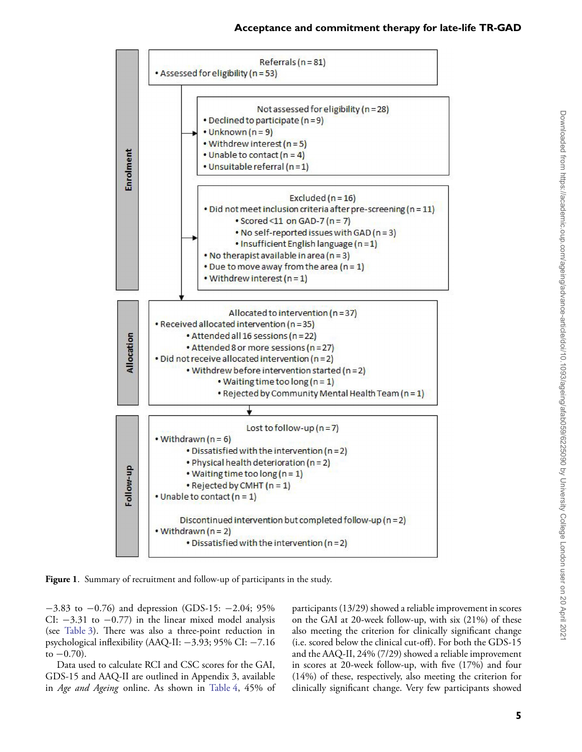

<span id="page-4-0"></span>**Figure 1**. Summary of recruitment and follow-up of participants in the study.

−3.83 to −0.76) and depression (GDS-15: −2.04; 95% CI:  $-3.31$  to  $-0.77$ ) in the linear mixed model analysis (see [Table 3\)](#page-7-0). There was also a three-point reduction in psychological inflexibility (AAQ-II: −3.93; 95% CI: −7.16 to  $-0.70$ ).

Data used to calculate RCI and CSC scores for the GAI, GDS-15 and AAQ-II are outlined in Appendix 3, available in *Age and Ageing* online. As shown in [Table 4,](#page-7-1) 45% of participants (13/29) showed a reliable improvement in scores on the GAI at 20-week follow-up, with six (21%) of these also meeting the criterion for clinically significant change (i.e. scored below the clinical cut-off). For both the GDS-15 and the AAQ-II, 24% (7/29) showed a reliable improvement in scores at 20-week follow-up, with five (17%) and four (14%) of these, respectively, also meeting the criterion for clinically significant change. Very few participants showed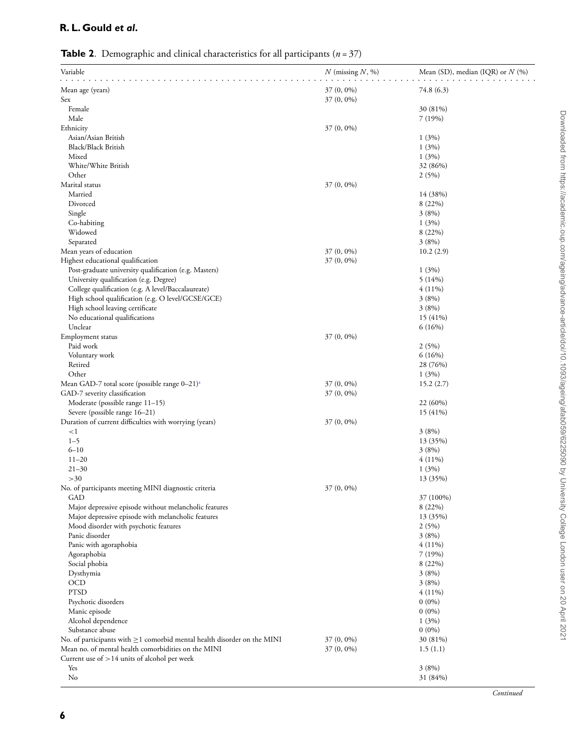<span id="page-5-0"></span>**Table 2**. Demographic and clinical characteristics for all participants (*n* = 37)

| Variable                                                                                        | $N$ (missing $N$ , %) | Mean (SD), median (IQR) or $N$ (%) |
|-------------------------------------------------------------------------------------------------|-----------------------|------------------------------------|
| Mean age (years)                                                                                | $37(0, 0\%)$          | 74.8 (6.3)                         |
| Sex                                                                                             | 37 (0, 0%)            |                                    |
| Female                                                                                          |                       | 30 (81%)                           |
| Male                                                                                            |                       | 7(19%)                             |
| Ethnicity                                                                                       | $37(0, 0\%)$          |                                    |
| Asian/Asian British<br>Black/Black British                                                      |                       | 1(3%)<br>1(3%)                     |
| Mixed                                                                                           |                       | 1(3%)                              |
| White/White British                                                                             |                       | 32 (86%)                           |
| Other                                                                                           |                       | 2(5%)                              |
| Marital status                                                                                  | 37 (0, 0%)            |                                    |
| Married                                                                                         |                       | 14 (38%)                           |
| Divorced                                                                                        |                       | 8 (22%)                            |
| Single                                                                                          |                       | 3(8%)                              |
| Co-habiting                                                                                     |                       | 1(3%)                              |
| Widowed                                                                                         |                       | 8 (22%)                            |
| Separated                                                                                       |                       | 3(8%)                              |
| Mean years of education                                                                         | 37 (0, 0%)            | 10.2(2.9)                          |
| Highest educational qualification                                                               | $37(0, 0\%)$          |                                    |
| Post-graduate university qualification (e.g. Masters)<br>University qualification (e.g. Degree) |                       | 1(3%)<br>5(14%)                    |
| College qualification (e.g. A level/Baccalaureate)                                              |                       | $4(11\%)$                          |
| High school qualification (e.g. O level/GCSE/GCE)                                               |                       | 3(8%)                              |
| High school leaving certificate                                                                 |                       | 3(8%)                              |
| No educational qualifications                                                                   |                       | 15(41%)                            |
| Unclear                                                                                         |                       | 6(16%)                             |
| Employment status                                                                               | $37(0, 0\%)$          |                                    |
| Paid work                                                                                       |                       | 2(5%)                              |
| Voluntary work                                                                                  |                       | 6(16%)                             |
| Retired                                                                                         |                       | 28 (76%)                           |
| Other                                                                                           |                       | 1(3%)                              |
| Mean GAD-7 total score (possible range $0-21$ ) <sup>a</sup>                                    | 37 (0, 0%)            | 15.2(2.7)                          |
| GAD-7 severity classification                                                                   | $37(0, 0\%)$          |                                    |
| Moderate (possible range 11-15)                                                                 |                       | 22 (60%)                           |
| Severe (possible range 16-21)                                                                   | 37 (0, 0%)            | 15(41%)                            |
| Duration of current difficulties with worrying (years)<br>$\leq$ 1                              |                       | 3(8%)                              |
| $1 - 5$                                                                                         |                       | 13 (35%)                           |
| $6 - 10$                                                                                        |                       | 3(8%)                              |
| $11 - 20$                                                                                       |                       | $4(11\%)$                          |
| $21 - 30$                                                                                       |                       | 1(3%)                              |
| >30                                                                                             |                       | 13 (35%)                           |
| No. of participants meeting MINI diagnostic criteria                                            | $37(0, 0\%)$          |                                    |
| <b>GAD</b>                                                                                      |                       | 37 (100%)                          |
| Major depressive episode without melancholic features                                           |                       | 8 (22%)                            |
| Major depressive episode with melancholic features                                              |                       | 13 (35%)                           |
| Mood disorder with psychotic features                                                           |                       | 2(5%)                              |
| Panic disorder                                                                                  |                       | 3(8%)                              |
| Panic with agoraphobia<br>Agoraphobia                                                           |                       | $4(11\%)$<br>7(19%)                |
| Social phobia                                                                                   |                       | 8 (22%)                            |
| Dysthymia                                                                                       |                       | 3(8%)                              |
| OCD                                                                                             |                       | 3(8%)                              |
| <b>PTSD</b>                                                                                     |                       | $4(11\%)$                          |
| Psychotic disorders                                                                             |                       | $0(0\%)$                           |
| Manic episode                                                                                   |                       | $0(0\%)$                           |
| Alcohol dependence                                                                              |                       | 1(3%)                              |
| Substance abuse                                                                                 |                       | $0(0\%)$                           |
| No. of participants with $\geq$ 1 comorbid mental health disorder on the MINI                   | 37 (0, 0%)            | 30 (81%)                           |
| Mean no. of mental health comorbidities on the MINI                                             | $37(0, 0\%)$          | 1.5(1.1)                           |
| Current use of $>14$ units of alcohol per week                                                  |                       |                                    |
| Yes                                                                                             |                       | 3(8%)                              |
| No                                                                                              |                       | 31 (84%)                           |

*Continued*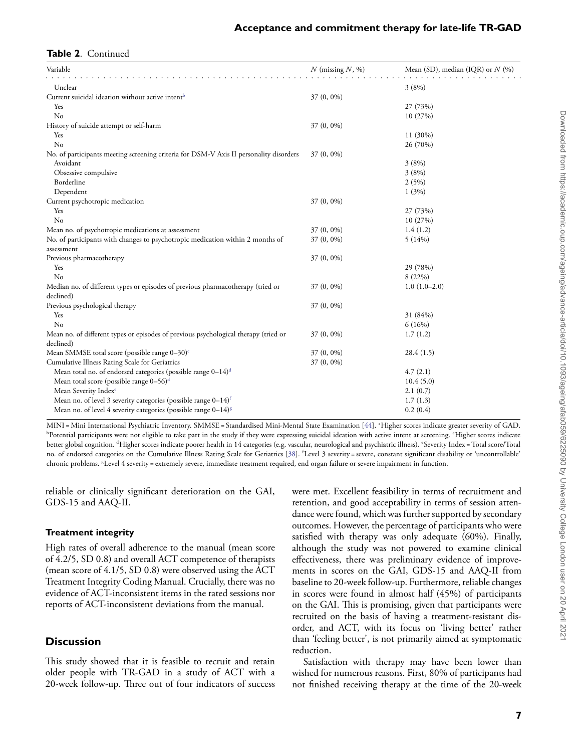## **Table 2**. Continued

| Variable                                                                               | $N$ (missing $N$ , %) | Mean (SD), median (IQR) or $N$ (%) |
|----------------------------------------------------------------------------------------|-----------------------|------------------------------------|
| Unclear                                                                                |                       | 3(8%)                              |
| Current suicidal ideation without active intent <sup>b</sup>                           | $37(0, 0\%)$          |                                    |
| Yes                                                                                    |                       | 27 (73%)                           |
| No                                                                                     |                       | 10(27%)                            |
| History of suicide attempt or self-harm                                                | 37 (0, 0%)            |                                    |
| Yes                                                                                    |                       | $11(30\%)$                         |
| No                                                                                     |                       | 26 (70%)                           |
| No. of participants meeting screening criteria for DSM-V Axis II personality disorders | 37 (0, 0%)            |                                    |
| Avoidant                                                                               |                       | 3(8%)                              |
| Obsessive compulsive                                                                   |                       | 3(8%)                              |
| Borderline                                                                             |                       | 2(5%)                              |
| Dependent                                                                              |                       | 1(3%)                              |
| Current psychotropic medication                                                        | 37 (0, 0%)            |                                    |
| Yes                                                                                    |                       | 27 (73%)                           |
| No                                                                                     |                       | 10(27%)                            |
| Mean no. of psychotropic medications at assessment                                     | $37(0, 0\%)$          | 1.4(1.2)                           |
| No. of participants with changes to psychotropic medication within 2 months of         | 37 (0, 0%)            | 5(14%)                             |
| assessment                                                                             |                       |                                    |
| Previous pharmacotherapy                                                               | 37 (0, 0%)            |                                    |
| Yes                                                                                    |                       | 29 (78%)                           |
| No                                                                                     |                       | 8(22%)                             |
| Median no. of different types or episodes of previous pharmacotherapy (tried or        | $37(0, 0\%)$          | $1.0(1.0-2.0)$                     |
| declined)                                                                              |                       |                                    |
| Previous psychological therapy                                                         | $37(0, 0\%)$          |                                    |
| Yes                                                                                    |                       | 31 (84%)                           |
| No                                                                                     |                       | 6(16%)                             |
| Mean no. of different types or episodes of previous psychological therapy (tried or    | $37(0, 0\%)$          | 1.7(1.2)                           |
| declined)                                                                              |                       |                                    |
| Mean SMMSE total score (possible range $0-30$ ) <sup>c</sup>                           | $37(0, 0\%)$          | 28.4(1.5)                          |
| Cumulative Illness Rating Scale for Geriatrics                                         | 37 (0, 0%)            |                                    |
| Mean total no. of endorsed categories (possible range $0-14$ ) <sup>d</sup>            |                       | 4.7(2.1)                           |
| Mean total score (possible range 0-56) <sup>d</sup>                                    |                       | 10.4(5.0)                          |
| Mean Severity Index <sup>e</sup>                                                       |                       | 2.1(0.7)                           |
| Mean no. of level 3 severity categories (possible range $0-14$ ) <sup>f</sup>          |                       | 1.7(1.3)                           |
| Mean no. of level 4 severity categories (possible range 0-14) <sup>8</sup>             |                       | 0.2(0.4)                           |

MINI = Mini International Psychiatric Inventory. SMMSE = Standardised Mini-Mental State Examination [\[44\]](#page-10-1). \*Higher scores indicate greater severity of GAD. <sup>b</sup>Potential participants were not eligible to take part in the study if they were expressing suicidal ideation with active intent at screening. <sup>c</sup>Higher scores indicate better global cognition. <sup>d</sup>Higher scores indicate poorer health in 14 categories (e.g. vascular, neurological and psychiatric illness). °Severity Index = Total score/Total no. of endorsed categories on the Cumulative Illness Rating Scale for Geriatrics [\[38\]](#page-10-2). <sup>f</sup> Level 3 severity = severe, constant significant disability or 'uncontrollable' chronic problems. <sup>g</sup> Level 4 severity = extremely severe, immediate treatment required, end organ failure or severe impairment in function.

reliable or clinically significant deterioration on the GAI, GDS-15 and AAQ-II.

#### **Treatment integrity**

High rates of overall adherence to the manual (mean score of 4.2/5, SD 0.8) and overall ACT competence of therapists (mean score of 4.1/5, SD 0.8) were observed using the ACT Treatment Integrity Coding Manual. Crucially, there was no evidence of ACT-inconsistent items in the rated sessions nor reports of ACT-inconsistent deviations from the manual.

## **Discussion**

This study showed that it is feasible to recruit and retain older people with TR-GAD in a study of ACT with a 20-week follow-up. Three out of four indicators of success

were met. Excellent feasibility in terms of recruitment and retention, and good acceptability in terms of session attendance were found, which was further supported by secondary outcomes. However, the percentage of participants who were satisfied with therapy was only adequate (60%). Finally, although the study was not powered to examine clinical effectiveness, there was preliminary evidence of improvements in scores on the GAI, GDS-15 and AAQ-II from baseline to 20-week follow-up. Furthermore, reliable changes in scores were found in almost half (45%) of participants on the GAI. This is promising, given that participants were recruited on the basis of having a treatment-resistant disorder, and ACT, with its focus on 'living better' rather than 'feeling better', is not primarily aimed at symptomatic reduction.

Satisfaction with therapy may have been lower than wished for numerous reasons. First, 80% of participants had not finished receiving therapy at the time of the 20-week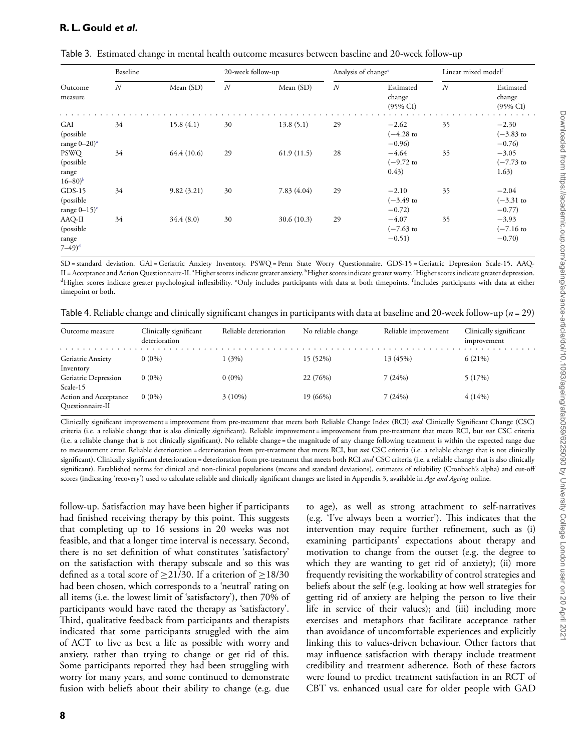| Baseline                                                     |    | 20-week follow-up |                  | Analysis of change <sup>e</sup> |                  | Linear mixed model <sup>f</sup>            |    |                                            |
|--------------------------------------------------------------|----|-------------------|------------------|---------------------------------|------------------|--------------------------------------------|----|--------------------------------------------|
| Outcome<br>measure                                           | N  | Mean (SD)         | $\boldsymbol{N}$ | Mean (SD)                       | $\boldsymbol{N}$ | Estimated<br>change<br>$(95\% \text{ CI})$ | N  | Estimated<br>change<br>$(95\% \text{ CI})$ |
| <b>GAI</b><br>(possible<br>range $0-20$ <sup>a</sup>         | 34 | 15.8(4.1)         | 30               | 13.8(5.1)                       | 29               | $-2.62$<br>$(-4.28)$ to<br>$-0.96$         | 35 | $-2.30$<br>$(-3.83)$ to<br>$-0.76$         |
| <b>PSWQ</b><br>(possible)<br>range<br>$16 - 80$ <sup>b</sup> | 34 | 64.4 (10.6)       | 29               | 61.9(11.5)                      | 28               | $-4.64$<br>$(-9.72)$ to<br>0.43)           | 35 | $-3.05$<br>$(-7.73)$ to<br>1.63)           |
| $GDS-15$<br>(possible)<br>range $0-15$ <sup>c</sup>          | 34 | 9.82(3.21)        | 30               | 7.83(4.04)                      | 29               | $-2.10$<br>$(-3.49)$ to<br>$-0.72$         | 35 | $-2.04$<br>$(-3.31)$ to<br>$-0.77$         |
| AAQ-II<br>(possible)<br>range<br>$(7-49)^d$                  | 34 | 34.4(8.0)         | 30               | 30.6 (10.3)                     | 29               | $-4.07$<br>$(-7.63)$ to<br>$-0.51)$        | 35 | $-3.93$<br>$(-7.16)$<br>$-0.70$            |

<span id="page-7-0"></span>

| Table 3. Estimated change in mental health outcome measures between baseline and 20-week follow-up |  |  |  |  |  |  |  |
|----------------------------------------------------------------------------------------------------|--|--|--|--|--|--|--|
|----------------------------------------------------------------------------------------------------|--|--|--|--|--|--|--|

SD = standard deviation. GAI = Geriatric Anxiety Inventory. PSWQ = Penn State Worry Questionnaire. GDS-15 = Geriatric Depression Scale-15. AAQ-II = Acceptance and Action Questionnaire-II. <sup>a</sup>Higher scores indicate greater anxiety. <sup>b</sup>Higher scores indicate greater worry. <sup>c</sup>Higher scores indicate greater depression. <sup>d</sup>Higher scores indicate greater psychological inflexibility. °Only includes participants with data at both timepoints. <sup>f</sup>Includes participants with data at either timepoint or both.

<span id="page-7-1"></span>

| Table 4. Reliable change and clinically significant changes in participants with data at baseline and 20-week follow-up ( $n = 29$ ) |  |  |  |
|--------------------------------------------------------------------------------------------------------------------------------------|--|--|--|
|                                                                                                                                      |  |  |  |

| Outcome measure                           | Clinically significant<br>deterioration | Reliable deterioration | No reliable change | Reliable improvement | Clinically significant<br>improvement |
|-------------------------------------------|-----------------------------------------|------------------------|--------------------|----------------------|---------------------------------------|
| Geriatric Anxiety<br>Inventory            | $0(0\%)$                                | 1(3%)                  | 15 (52%)           | 13 (45%)             | 6(21%)                                |
| Geriatric Depression<br>Scale-15          | $0(0\%)$                                | $0(0\%)$               | 22 (76%)           | 7(24%)               | 5(17%)                                |
| Action and Acceptance<br>Questionnaire-II | $0(0\%)$                                | $3(10\%)$              | 19 (66%)           | 7(24%)               | $4(14\%)$                             |

Clinically significant improvement = improvement from pre-treatment that meets both Reliable Change Index (RCI) *and* Clinically Significant Change (CSC) criteria (i.e. a reliable change that is also clinically significant). Reliable improvement = improvement from pre-treatment that meets RCI, but *not* CSC criteria (i.e. a reliable change that is not clinically significant). No reliable change = the magnitude of any change following treatment is within the expected range due to measurement error. Reliable deterioration = deterioration from pre-treatment that meets RCI, but *not* CSC criteria (i.e. a reliable change that is not clinically significant). Clinically significant deterioration = deterioration from pre-treatment that meets both RCI *and* CSC criteria (i.e. a reliable change that is also clinically significant). Established norms for clinical and non-clinical populations (means and standard deviations), estimates of reliability (Cronbach's alpha) and cut-off scores (indicating 'recovery') used to calculate reliable and clinically significant changes are listed in Appendix 3, available in *Age and Ageing* online.

follow-up. Satisfaction may have been higher if participants had finished receiving therapy by this point. This suggests that completing up to 16 sessions in 20 weeks was not feasible, and that a longer time interval is necessary. Second, there is no set definition of what constitutes 'satisfactory' on the satisfaction with therapy subscale and so this was defined as a total score of  $\geq$ 21/30. If a criterion of  $\geq$ 18/30 had been chosen, which corresponds to a 'neutral' rating on all items (i.e. the lowest limit of 'satisfactory'), then 70% of participants would have rated the therapy as 'satisfactory'. Third, qualitative feedback from participants and therapists indicated that some participants struggled with the aim of ACT to live as best a life as possible with worry and anxiety, rather than trying to change or get rid of this. Some participants reported they had been struggling with worry for many years, and some continued to demonstrate fusion with beliefs about their ability to change (e.g. due

to age), as well as strong attachment to self-narratives (e.g. 'I've always been a worrier'). This indicates that the intervention may require further refinement, such as (i) examining participants' expectations about therapy and motivation to change from the outset (e.g. the degree to which they are wanting to get rid of anxiety); (ii) more frequently revisiting the workability of control strategies and beliefs about the self (e.g. looking at how well strategies for getting rid of anxiety are helping the person to live their life in service of their values); and (iii) including more exercises and metaphors that facilitate acceptance rather than avoidance of uncomfortable experiences and explicitly linking this to values-driven behaviour. Other factors that may influence satisfaction with therapy include treatment credibility and treatment adherence. Both of these factors were found to predict treatment satisfaction in an RCT of CBT vs. enhanced usual care for older people with GAD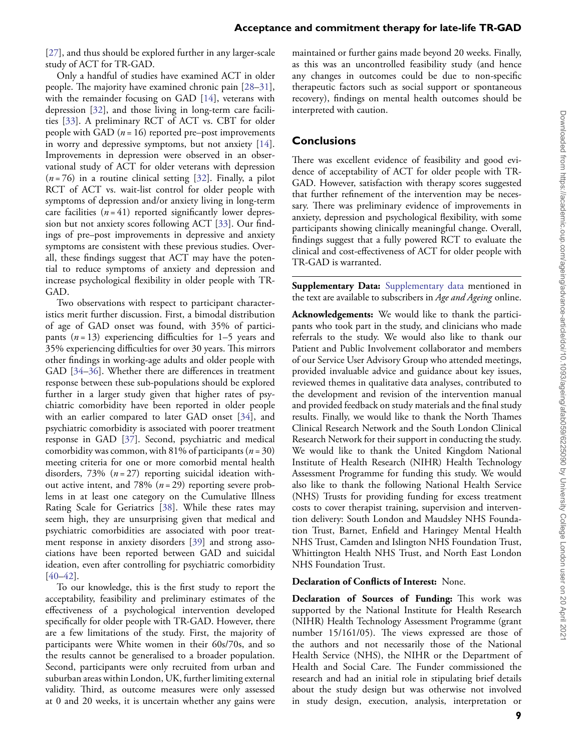[\[27\]](#page-9-26), and thus should be explored further in any larger-scale study of ACT for TR-GAD.

Only a handful of studies have examined ACT in older people. The majority have examined chronic pain [\[28–](#page-9-27)[31\]](#page-9-28), with the remainder focusing on GAD [\[14\]](#page-9-13), veterans with depression [\[32\]](#page-10-3), and those living in long-term care facilities [\[33\]](#page-10-4). A preliminary RCT of ACT vs. CBT for older people with GAD  $(n = 16)$  reported pre–post improvements in worry and depressive symptoms, but not anxiety [\[14\]](#page-9-13). Improvements in depression were observed in an observational study of ACT for older veterans with depression  $(n=76)$  in a routine clinical setting [\[32\]](#page-10-3). Finally, a pilot RCT of ACT vs. wait-list control for older people with symptoms of depression and/or anxiety living in long-term care facilities  $(n = 41)$  reported significantly lower depression but not anxiety scores following ACT [\[33\]](#page-10-4). Our findings of pre–post improvements in depressive and anxiety symptoms are consistent with these previous studies. Overall, these findings suggest that ACT may have the potential to reduce symptoms of anxiety and depression and increase psychological flexibility in older people with TR-GAD.

Two observations with respect to participant characteristics merit further discussion. First, a bimodal distribution of age of GAD onset was found, with 35% of participants (*n* = 13) experiencing difficulties for 1–5 years and 35% experiencing difficulties for over 30 years. This mirrors other findings in working-age adults and older people with GAD [\[34–](#page-10-5)[36\]](#page-10-6). Whether there are differences in treatment response between these sub-populations should be explored further in a larger study given that higher rates of psychiatric comorbidity have been reported in older people with an earlier compared to later GAD onset [\[34\]](#page-10-5), and psychiatric comorbidity is associated with poorer treatment response in GAD [\[37\]](#page-10-7). Second, psychiatric and medical comorbidity was common, with 81% of participants (*n* = 30) meeting criteria for one or more comorbid mental health disorders, 73% (*n* = 27) reporting suicidal ideation without active intent, and 78% (*n* = 29) reporting severe problems in at least one category on the Cumulative Illness Rating Scale for Geriatrics [\[38\]](#page-10-2). While these rates may seem high, they are unsurprising given that medical and psychiatric comorbidities are associated with poor treatment response in anxiety disorders [\[39\]](#page-10-8) and strong associations have been reported between GAD and suicidal ideation, even after controlling for psychiatric comorbidity [\[40–](#page-10-9)[42\]](#page-10-10).

To our knowledge, this is the first study to report the acceptability, feasibility and preliminary estimates of the effectiveness of a psychological intervention developed specifically for older people with TR-GAD. However, there are a few limitations of the study. First, the majority of participants were White women in their 60s/70s, and so the results cannot be generalised to a broader population. Second, participants were only recruited from urban and suburban areas within London, UK, further limiting external validity. Third, as outcome measures were only assessed at 0 and 20 weeks, it is uncertain whether any gains were

maintained or further gains made beyond 20 weeks. Finally, as this was an uncontrolled feasibility study (and hence any changes in outcomes could be due to non-specific therapeutic factors such as social support or spontaneous recovery), findings on mental health outcomes should be interpreted with caution.

## **Conclusions**

There was excellent evidence of feasibility and good evidence of acceptability of ACT for older people with TR-GAD. However, satisfaction with therapy scores suggested that further refinement of the intervention may be necessary. There was preliminary evidence of improvements in anxiety, depression and psychological flexibility, with some participants showing clinically meaningful change. Overall, findings suggest that a fully powered RCT to evaluate the clinical and cost-effectiveness of ACT for older people with TR-GAD is warranted.

**Supplementary Data:** [Supplementary data](https://academic.oup.com/ageing/article-lookup/doi/10.1093/ageing/afab059#supplementary-data) mentioned in the text are available to subscribers in *Age and Ageing* online.

**Acknowledgements:** We would like to thank the participants who took part in the study, and clinicians who made referrals to the study. We would also like to thank our Patient and Public Involvement collaborator and members of our Service User Advisory Group who attended meetings, provided invaluable advice and guidance about key issues, reviewed themes in qualitative data analyses, contributed to the development and revision of the intervention manual and provided feedback on study materials and the final study results. Finally, we would like to thank the North Thames Clinical Research Network and the South London Clinical Research Network for their support in conducting the study. We would like to thank the United Kingdom National Institute of Health Research (NIHR) Health Technology Assessment Programme for funding this study. We would also like to thank the following National Health Service (NHS) Trusts for providing funding for excess treatment costs to cover therapist training, supervision and intervention delivery: South London and Maudsley NHS Foundation Trust, Barnet, Enfield and Haringey Mental Health NHS Trust, Camden and Islington NHS Foundation Trust, Whittington Health NHS Trust, and North East London NHS Foundation Trust.

#### **Declaration of Conflicts of Interest:** None.

**Declaration of Sources of Funding:** This work was supported by the National Institute for Health Research (NIHR) Health Technology Assessment Programme (grant number 15/161/05). The views expressed are those of the authors and not necessarily those of the National Health Service (NHS), the NIHR or the Department of Health and Social Care. The Funder commissioned the research and had an initial role in stipulating brief details about the study design but was otherwise not involved in study design, execution, analysis, interpretation or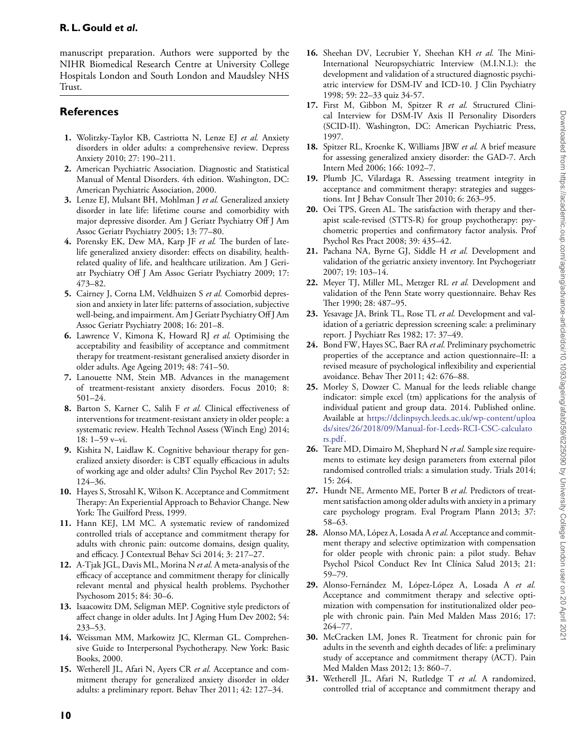manuscript preparation. Authors were supported by the NIHR Biomedical Research Centre at University College Hospitals London and South London and Maudsley NHS Trust.

# **References**

- <span id="page-9-0"></span>**1.** Wolitzky-Taylor KB, Castriotta N, Lenze EJ *et al.* Anxiety disorders in older adults: a comprehensive review. Depress Anxiety 2010; 27: 190–211.
- <span id="page-9-1"></span>**2.** American Psychiatric Association. Diagnostic and Statistical Manual of Mental Disorders. 4th edition. Washington, DC: American Psychiatric Association, 2000.
- <span id="page-9-2"></span>**3.** Lenze EJ, Mulsant BH, Mohlman J *et al.* Generalized anxiety disorder in late life: lifetime course and comorbidity with major depressive disorder. Am J Geriatr Psychiatry Off J Am Assoc Geriatr Psychiatry 2005; 13: 77–80.
- <span id="page-9-3"></span>**4.** Porensky EK, Dew MA, Karp JF *et al.* The burden of latelife generalized anxiety disorder: effects on disability, healthrelated quality of life, and healthcare utilization. Am J Geriatr Psychiatry Off J Am Assoc Geriatr Psychiatry 2009; 17: 473–82.
- <span id="page-9-4"></span>**5.** Cairney J, Corna LM, Veldhuizen S *et al.* Comorbid depression and anxiety in later life: patterns of association, subjective well-being, and impairment. Am J Geriatr Psychiatry Off J Am Assoc Geriatr Psychiatry 2008; 16: 201–8.
- <span id="page-9-5"></span>**6.** Lawrence V, Kimona K, Howard RJ *et al.* Optimising the acceptability and feasibility of acceptance and commitment therapy for treatment-resistant generalised anxiety disorder in older adults. Age Ageing 2019; 48: 741–50.
- <span id="page-9-6"></span>**7.** Lanouette NM, Stein MB. Advances in the management of treatment-resistant anxiety disorders. Focus 2010; 8: 501–24.
- <span id="page-9-7"></span>**8.** Barton S, Karner C, Salih F *et al.* Clinical effectiveness of interventions for treatment-resistant anxiety in older people: a systematic review. Health Technol Assess (Winch Eng) 2014; 18: 1–59 v–vi.
- <span id="page-9-8"></span>**9.** Kishita N, Laidlaw K. Cognitive behaviour therapy for generalized anxiety disorder: is CBT equally efficacious in adults of working age and older adults? Clin Psychol Rev 2017; 52: 124–36.
- <span id="page-9-9"></span>**10.** Hayes S, Strosahl K, Wilson K. Acceptance and Commitment Therapy: An Experiential Approach to Behavior Change. New York: The Guilford Press, 1999.
- <span id="page-9-10"></span>**11.** Hann KEJ, LM MC. A systematic review of randomized controlled trials of acceptance and commitment therapy for adults with chronic pain: outcome domains, design quality, and efficacy. J Contextual Behav Sci 2014; 3: 217–27.
- <span id="page-9-11"></span>**12.** A-Tjak JGL, Davis ML, Morina N *et al.* A meta-analysis of the efficacy of acceptance and commitment therapy for clinically relevant mental and physical health problems. Psychother Psychosom 2015; 84: 30–6.
- <span id="page-9-12"></span>**13.** Isaacowitz DM, Seligman MEP. Cognitive style predictors of affect change in older adults. Int J Aging Hum Dev 2002; 54: 233–53.
- <span id="page-9-13"></span>**14.** Weissman MM, Markowitz JC, Klerman GL. Comprehensive Guide to Interpersonal Psychotherapy. New York: Basic Books, 2000.
- <span id="page-9-14"></span>**15.** Wetherell JL, Afari N, Ayers CR *et al.* Acceptance and commitment therapy for generalized anxiety disorder in older adults: a preliminary report. Behav Ther 2011; 42: 127–34.
- <span id="page-9-15"></span>**16.** Sheehan DV, Lecrubier Y, Sheehan KH *et al.* The Mini-International Neuropsychiatric Interview (M.I.N.I.): the development and validation of a structured diagnostic psychiatric interview for DSM-IV and ICD-10. J Clin Psychiatry 1998; 59: 22–33 quiz 34-57.
- <span id="page-9-16"></span>**17.** First M, Gibbon M, Spitzer R *et al.* Structured Clinical Interview for DSM-IV Axis II Personality Disorders (SCID-II). Washington, DC: American Psychiatric Press, 1997.
- <span id="page-9-17"></span>**18.** Spitzer RL, Kroenke K, Williams JBW *et al.* A brief measure for assessing generalized anxiety disorder: the GAD-7. Arch Intern Med 2006; 166: 1092–7.
- <span id="page-9-18"></span>**19.** Plumb JC, Vilardaga R. Assessing treatment integrity in acceptance and commitment therapy: strategies and suggestions. Int J Behav Consult Ther 2010; 6: 263–95.
- <span id="page-9-19"></span>**20.** Oei TPS, Green AL. The satisfaction with therapy and therapist scale-revised (STTS-R) for group psychotherapy: psychometric properties and confirmatory factor analysis. Prof Psychol Res Pract 2008; 39: 435–42.
- <span id="page-9-20"></span>**21.** Pachana NA, Byrne GJ, Siddle H *et al.* Development and validation of the geriatric anxiety inventory. Int Psychogeriatr 2007; 19: 103–14.
- <span id="page-9-21"></span>**22.** Meyer TJ, Miller ML, Metzger RL *et al.* Development and validation of the Penn State worry questionnaire. Behav Res Ther 1990; 28: 487–95.
- <span id="page-9-22"></span>**23.** Yesavage JA, Brink TL, Rose TL *et al.* Development and validation of a geriatric depression screening scale: a preliminary report. J Psychiatr Res 1982; 17: 37–49.
- <span id="page-9-23"></span>**24.** Bond FW, Hayes SC, Baer RA *et al.* Preliminary psychometric properties of the acceptance and action questionnaire–II: a revised measure of psychological inflexibility and experiential avoidance. Behav Ther 2011; 42: 676–88.
- <span id="page-9-24"></span>**25.** Morley S, Dowzer C. Manual for the leeds reliable change indicator: simple excel (tm) applications for the analysis of individual patient and group data. 2014. Published online. Available at [https://dclinpsych.leeds.ac.uk/wp-content/uploa](https://dclinpsych.leeds.ac.uk/wp-content/uploads/sites/26/2018/09/Manual-for-Leeds-RCI-CSC-calculators.pdf) [ds/sites/26/2018/09/Manual-for-Leeds-RCI-CSC-calculato](https://dclinpsych.leeds.ac.uk/wp-content/uploads/sites/26/2018/09/Manual-for-Leeds-RCI-CSC-calculators.pdf) [rs.pdf.](https://dclinpsych.leeds.ac.uk/wp-content/uploads/sites/26/2018/09/Manual-for-Leeds-RCI-CSC-calculators.pdf)
- <span id="page-9-25"></span>**26.** Teare MD, Dimairo M, Shephard N *et al.* Sample size requirements to estimate key design parameters from external pilot randomised controlled trials: a simulation study. Trials 2014; 15: 264.
- <span id="page-9-26"></span>**27.** Hundt NE, Armento ME, Porter B *et al.* Predictors of treatment satisfaction among older adults with anxiety in a primary care psychology program. Eval Program Plann 2013; 37: 58–63.
- <span id="page-9-27"></span>**28.** Alonso MA, López A, Losada A *et al.* Acceptance and commitment therapy and selective optimization with compensation for older people with chronic pain: a pilot study. Behav Psychol Psicol Conduct Rev Int Clínica Salud 2013; 21: 59–79.
- **29.** Alonso-Fernández M, López-López A, Losada A *et al.* Acceptance and commitment therapy and selective optimization with compensation for institutionalized older people with chronic pain. Pain Med Malden Mass 2016; 17: 264–77.
- **30.** McCracken LM, Jones R. Treatment for chronic pain for adults in the seventh and eighth decades of life: a preliminary study of acceptance and commitment therapy (ACT). Pain Med Malden Mass 2012; 13: 860–7.
- <span id="page-9-28"></span>**31.** Wetherell JL, Afari N, Rutledge T *et al.* A randomized, controlled trial of acceptance and commitment therapy and